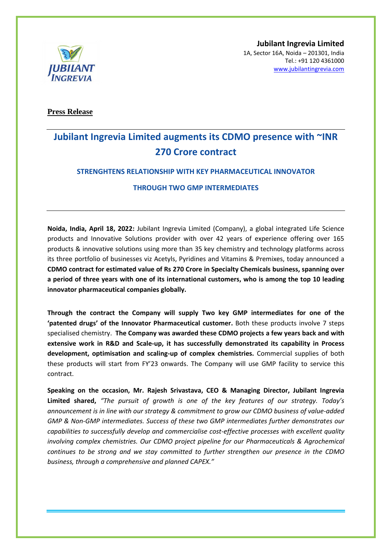

**Jubilant Ingrevia Limited** 1A, Sector 16A, Noida – 201301, India Tel.: +91 120 4361000 [www.jubilantingrevia.com](http://www.jubilantingrevia.com/)

**Press Release**

# **Jubilant Ingrevia Limited augments its CDMO presence with ~INR 270 Crore contract**

## **STRENGHTENS RELATIONSHIP WITH KEY PHARMACEUTICAL INNOVATOR**

## **THROUGH TWO GMP INTERMEDIATES**

**Noida, India, April 18, 2022:** Jubilant Ingrevia Limited (Company), a global integrated Life Science products and Innovative Solutions provider with over 42 years of experience offering over 165 products & innovative solutions using more than 35 key chemistry and technology platforms across its three portfolio of businesses viz Acetyls, Pyridines and Vitamins & Premixes, today announced a **CDMO contract for estimated value of Rs 270 Crore in Specialty Chemicals business, spanning over a period of three years with one of its international customers, who is among the top 10 leading innovator pharmaceutical companies globally.** 

**Through the contract the Company will supply Two key GMP intermediates for one of the 'patented drugs' of the Innovator Pharmaceutical customer.** Both these products involve 7 steps specialised chemistry. **The Company was awarded these CDMO projects a few years back and with extensive work in R&D and Scale-up, it has successfully demonstrated its capability in Process development, optimisation and scaling-up of complex chemistries.** Commercial supplies of both these products will start from FY'23 onwards. The Company will use GMP facility to service this contract.

**Speaking on the occasion, Mr. Rajesh Srivastava, CEO & Managing Director, Jubilant Ingrevia Limited shared,** *"The pursuit of growth is one of the key features of our strategy. Today's announcement is in line with our strategy & commitment to grow our CDMO business of value-added GMP & Non-GMP intermediates. Success of these two GMP intermediates further demonstrates our capabilities to successfully develop and commercialise cost-effective processes with excellent quality involving complex chemistries. Our CDMO project pipeline for our Pharmaceuticals & Agrochemical continues to be strong and we stay committed to further strengthen our presence in the CDMO business, through a comprehensive and planned CAPEX."*